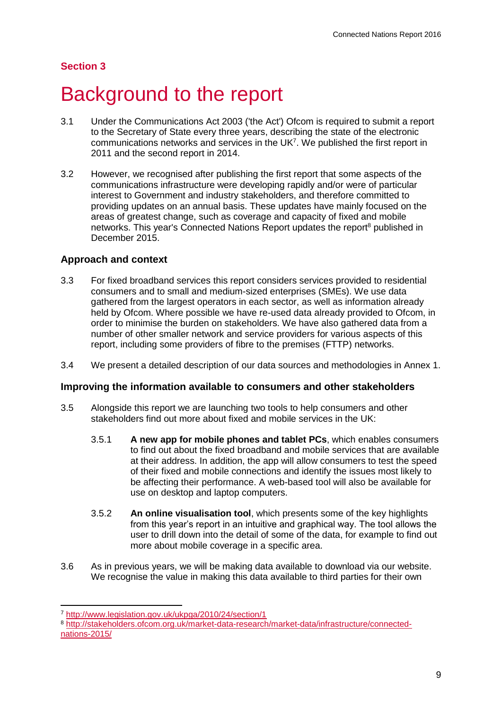# **Section 3**

# Background to the report

- 3.1 Under the Communications Act 2003 ('the Act') Ofcom is required to submit a report to the Secretary of State every three years, describing the state of the electronic communications networks and services in the UK<sup>7</sup>. We published the first report in 2011 and the second report in 2014.
- 3.2 However, we recognised after publishing the first report that some aspects of the communications infrastructure were developing rapidly and/or were of particular interest to Government and industry stakeholders, and therefore committed to providing updates on an annual basis. These updates have mainly focused on the areas of greatest change, such as coverage and capacity of fixed and mobile networks. This year's Connected Nations Report updates the report<sup>8</sup> published in December 2015.

## **Approach and context**

- 3.3 For fixed broadband services this report considers services provided to residential consumers and to small and medium-sized enterprises (SMEs). We use data gathered from the largest operators in each sector, as well as information already held by Ofcom. Where possible we have re-used data already provided to Ofcom, in order to minimise the burden on stakeholders. We have also gathered data from a number of other smaller network and service providers for various aspects of this report, including some providers of fibre to the premises (FTTP) networks.
- 3.4 We present a detailed description of our data sources and methodologies in Annex 1.

#### **Improving the information available to consumers and other stakeholders**

- 3.5 Alongside this report we are launching two tools to help consumers and other stakeholders find out more about fixed and mobile services in the UK:
	- 3.5.1 **A new app for mobile phones and tablet PCs**, which enables consumers to find out about the fixed broadband and mobile services that are available at their address. In addition, the app will allow consumers to test the speed of their fixed and mobile connections and identify the issues most likely to be affecting their performance. A web-based tool will also be available for use on desktop and laptop computers.
	- 3.5.2 **An online visualisation tool**, which presents some of the key highlights from this year's report in an intuitive and graphical way. The tool allows the user to drill down into the detail of some of the data, for example to find out more about mobile coverage in a specific area.
- 3.6 As in previous years, we will be making data available to download via our website. We recognise the value in making this data available to third parties for their own

-

<sup>7</sup> <http://www.legislation.gov.uk/ukpga/2010/24/section/1>

<sup>8</sup> [http://stakeholders.ofcom.org.uk/market-data-research/market-data/infrastructure/connected](http://stakeholders.ofcom.org.uk/market-data-research/market-data/infrastructure/connected-nations-2015/)[nations-2015/](http://stakeholders.ofcom.org.uk/market-data-research/market-data/infrastructure/connected-nations-2015/)